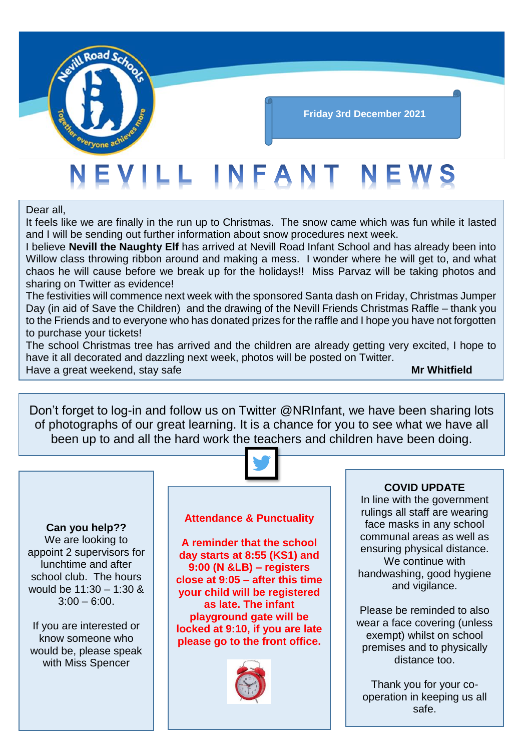

# **Friday 3rd December 2021**

# NEVILL INFANT NEWS

# Dear all,

It feels like we are finally in the run up to Christmas. The snow came which was fun while it lasted and I will be sending out further information about snow procedures next week.

I believe **Nevill the Naughty Elf** has arrived at Nevill Road Infant School and has already been into Willow class throwing ribbon around and making a mess. I wonder where he will get to, and what chaos he will cause before we break up for the holidays!! Miss Parvaz will be taking photos and sharing on Twitter as evidence!

The festivities will commence next week with the sponsored Santa dash on Friday, Christmas Jumper Day (in aid of Save the Children) and the drawing of the Nevill Friends Christmas Raffle – thank you to the Friends and to everyone who has donated prizes for the raffle and I hope you have not forgotten to purchase your tickets!

The school Christmas tree has arrived and the children are already getting very excited, I hope to have it all decorated and dazzling next week, photos will be posted on Twitter.

Have a great weekend, stay safe **Mr Whitfield Mr Whitfield** 

Don't forget to log-in and follow us on Twitter @NRInfant, we have been sharing lots of photographs of our great learning. It is a chance for you to see what we have all been up to and all the hard work the teachers and children have been doing.



# **Can you help??**

We are looking to appoint 2 supervisors for lunchtime and after school club. The hours would be 11:30 – 1:30 &  $3:00 - 6:00$ .

If you are interested or know someone who would be, please speak with Miss Spencer

# **Attendance & Punctuality**

**A reminder that the school day starts at 8:55 (KS1) and 9:00 (N &LB) – registers close at 9:05 – after this time your child will be registered as late. The infant playground gate will be locked at 9:10, if you are late please go to the front office.**



# **COVID UPDATE**

In line with the government rulings all staff are wearing face masks in any school communal areas as well as ensuring physical distance. We continue with handwashing, good hygiene and vigilance.

Please be reminded to also wear a face covering (unless exempt) whilst on school premises and to physically distance too.

Thank you for your cooperation in keeping us all safe.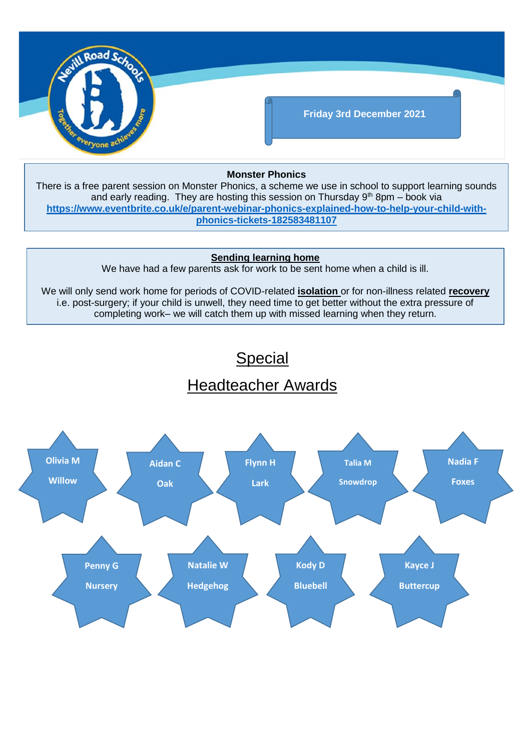

# **Monster Phonics**

There is a free parent session on Monster Phonics, a scheme we use in school to support learning sounds and early reading. They are hosting this session on Thursday  $9<sup>th</sup>$  8pm – book via **[https://www.eventbrite.co.uk/e/parent-webinar-phonics-explained-how-to-help-your-child-with](https://www.eventbrite.co.uk/e/parent-webinar-phonics-explained-how-to-help-your-child-with-phonics-tickets-182583481107)[phonics-tickets-182583481107](https://www.eventbrite.co.uk/e/parent-webinar-phonics-explained-how-to-help-your-child-with-phonics-tickets-182583481107)**

# **Sending learning home**

We have had a few parents ask for work to be sent home when a child is ill.

We will only send work home for periods of COVID-related **isolation** or for non-illness related **recovery** i.e. post-surgery; if your child is unwell, they need time to get better without the extra pressure of completing work– we will catch them up with missed learning when they return.

# **Special**

# Headteacher Awards

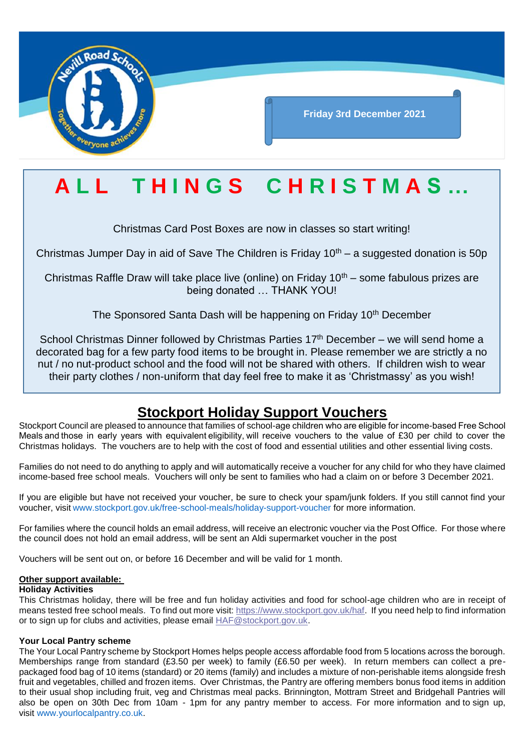

# **A L L T H I N G S C H R I S T M A S …**

Christmas Card Post Boxes are now in classes so start writing!

Christmas Jumper Day in aid of Save The Children is Friday  $10<sup>th</sup> - a$  suggested donation is 50p

Christmas Raffle Draw will take place live (online) on Friday  $10<sup>th</sup>$  – some fabulous prizes are being donated … THANK YOU!

The Sponsored Santa Dash will be happening on Friday 10<sup>th</sup> December

School Christmas Dinner followed by Christmas Parties 17<sup>th</sup> December – we will send home a decorated bag for a few party food items to be brought in. Please remember we are strictly a no nut / no nut-product school and the food will not be shared with others. If children wish to wear their party clothes / non-uniform that day feel free to make it as 'Christmassy' as you wish!

# **Stockport Holiday Support Vouchers**

Stockport Council are pleased to announce that families of school-age children who are eligible for income-based Free School Meals and those in early years with equivalent eligibility, will receive vouchers to the value of £30 per child to cover the Christmas holidays. The vouchers are to help with the cost of food and essential utilities and other essential living costs.

Families do not need to do anything to apply and will automatically receive a voucher for any child for who they have claimed income-based free school meals. Vouchers will only be sent to families who had a claim on or before 3 December 2021.

If you are eligible but have not received your voucher, be sure to check your spam/junk folders. If you still cannot find your voucher, visit [www.stockport.gov.uk/free-school-meals/holiday-support-voucher](http://www.stockport.gov.uk/free-school-meals/holiday-support-voucher) for more information.

For families where the council holds an email address, will receive an electronic voucher via the Post Office. For those where the council does not hold an email address, will be sent an Aldi supermarket voucher in the post

Vouchers will be sent out on, or before 16 December and will be valid for 1 month.

# **Other support available:**

## **Holiday Activities**

This Christmas holiday, there will be free and fun holiday activities and food for school-age children who are in receipt of means tested free school meals. To find out more visit[: https://www.stockport.gov.uk/haf.](https://eur01.safelinks.protection.outlook.com/?url=https%3A%2F%2Fwww.stockport.gov.uk%2Fhaf&data=04%7C01%7Cjaime.scowcroft%40stockport.gov.uk%7C80dd261b6f9b438d615f08d9b3470e34%7Ca05ef69e61494fbaa40cdf338810f644%7C0%7C0%7C637737940024379413%7CUnknown%7CTWFpbGZsb3d8eyJWIjoiMC4wLjAwMDAiLCJQIjoiV2luMzIiLCJBTiI6Ik1haWwiLCJXVCI6Mn0%3D%7C3000&sdata=CA4Dt8BO8p0DBsY1b%2BjW6Wi3%2FPbY3CNHJsEL1QQ2ilY%3D&reserved=0) If you need help to find information or to sign up for clubs and activities, please email [HAF@stockport.gov.uk.](mailto:HAF@stockport.gov.uk)

## **Your Local Pantry scheme**

The Your Local Pantry scheme by Stockport Homes helps people access affordable food from 5 locations across the borough. Memberships range from standard (£3.50 per week) to family (£6.50 per week). In return members can collect a prepackaged food bag of 10 items (standard) or 20 items (family) and includes a mixture of non-perishable items alongside fresh fruit and vegetables, chilled and frozen items. Over Christmas, the Pantry are offering members bonus food items in addition to their usual shop including fruit, veg and Christmas meal packs. Brinnington, Mottram Street and Bridgehall Pantries will also be open on 30th Dec from 10am - 1pm for any pantry member to access. For more information and to sign up, visit [www.yourlocalpantry.co.uk.](http://www.yourlocalpantry.co.uk/)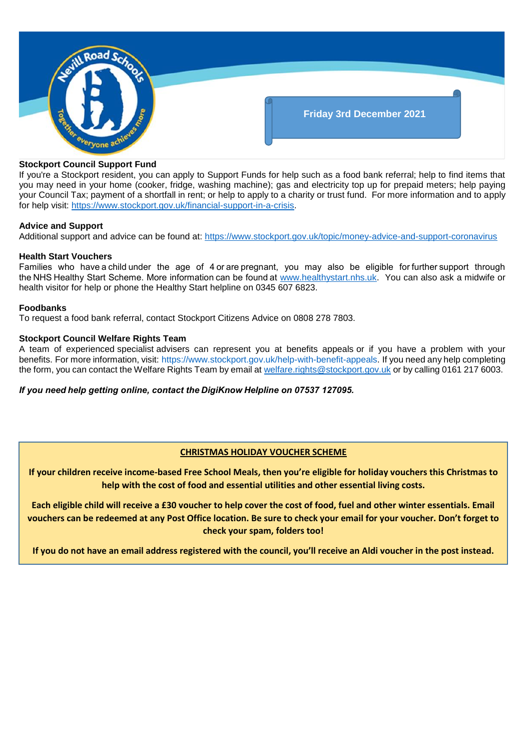

### **Stockport Council Support Fund**

If you're a Stockport resident, you can apply to Support Funds for help such as a food bank referral; help to find items that you may need in your home (cooker, fridge, washing machine); gas and electricity top up for prepaid meters; help paying your Council Tax; payment of a shortfall in rent; or help to apply to a charity or trust fund. For more information and to apply for help visit: [https://www.stockport.gov.uk/financial-support-in-a-crisis.](https://www.stockport.gov.uk/financial-support-in-a-crisis)

#### **Advice and Support**

Additional support and advice can be found at:<https://www.stockport.gov.uk/topic/money-advice-and-support-coronavirus>

#### **Health Start Vouchers**

Families who have a child under the age of 4 or are pregnant, you may also be eligible for further support through the NHS Healthy Start Scheme. More information can be found at [www.healthystart.nhs.uk.](http://www.healthystart.nhs.uk/) You can also ask a midwife or health visitor for help or phone the Healthy Start helpline on 0345 607 6823.

#### **Foodbanks**

To request a food bank referral, contact Stockport Citizens Advice on 0808 278 7803.

#### **Stockport Council Welfare Rights Team**

A team of experienced specialist advisers can represent you at benefits appeals or if you have a problem with your benefits. For more information, visit: [https://www.stockport.gov.uk/help-with-benefit-appeals.](https://www.stockport.gov.uk/help-with-benefit-appeals) If you need any help completing the form, you can contact the Welfare Rights Team by email at [welfare.rights@stockport.gov.uk](mailto:welfare.rights@stockport.gov.uk) or by calling 0161 217 6003.

#### *If you need help getting online, contact the DigiKnow Helpline on 07537 127095.*

## **CHRISTMAS HOLIDAY VOUCHER SCHEME**

**If your children receive income-based Free School Meals, then you're eligible for holiday vouchers this Christmas to help with the cost of food and essential utilities and other essential living costs.**

**Each eligible child will receive a £30 voucher to help cover the cost of food, fuel and other winter essentials. Email vouchers can be redeemed at any Post Office location. Be sure to check your email for your voucher. Don't forget to check your spam, folders too!**

**If you do not have an email address registered with the council, you'll receive an Aldi voucher in the post instead.**